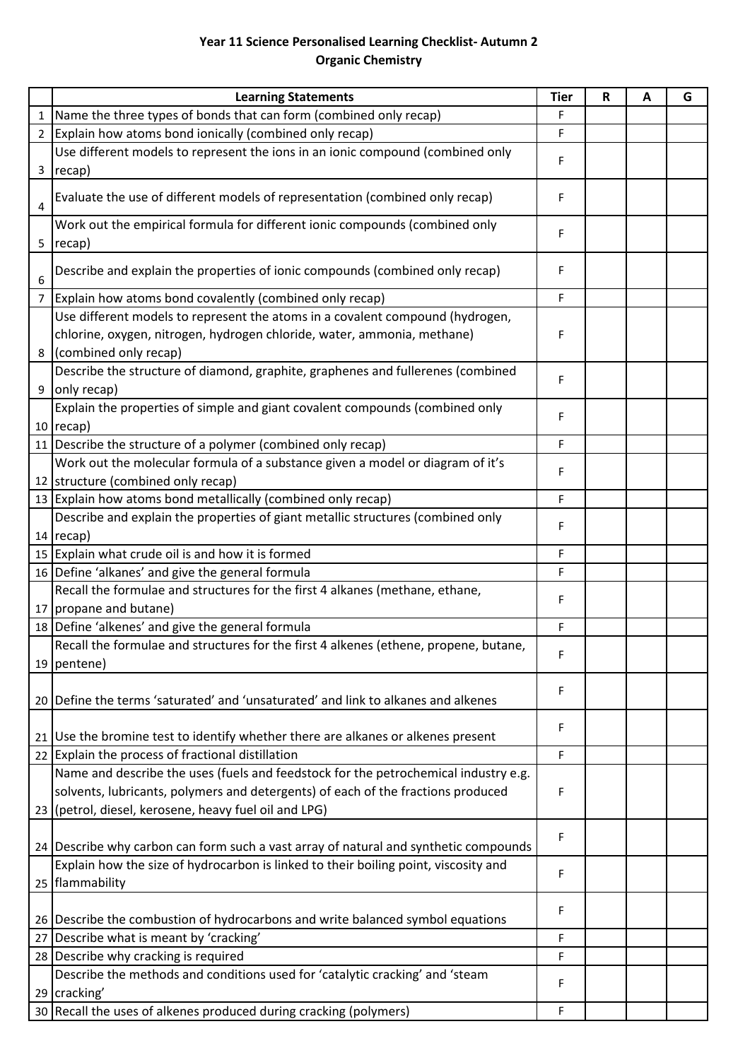## **Year 11 Science Personalised Learning Checklist- Autumn 2 Organic Chemistry**

|                | <b>Learning Statements</b>                                                                                                       | <b>Tier</b> | R | А | G |
|----------------|----------------------------------------------------------------------------------------------------------------------------------|-------------|---|---|---|
| 1              | Name the three types of bonds that can form (combined only recap)                                                                | F           |   |   |   |
| $\overline{2}$ | Explain how atoms bond ionically (combined only recap)                                                                           | F           |   |   |   |
|                | Use different models to represent the ions in an ionic compound (combined only                                                   | F           |   |   |   |
| 3              | recap)                                                                                                                           |             |   |   |   |
| 4              | Evaluate the use of different models of representation (combined only recap)                                                     | F           |   |   |   |
|                | Work out the empirical formula for different ionic compounds (combined only                                                      | F           |   |   |   |
| 5              | recap)                                                                                                                           |             |   |   |   |
| 6              | Describe and explain the properties of ionic compounds (combined only recap)                                                     | F           |   |   |   |
| $\overline{7}$ | Explain how atoms bond covalently (combined only recap)                                                                          | F           |   |   |   |
|                | Use different models to represent the atoms in a covalent compound (hydrogen,                                                    |             |   |   |   |
|                | chlorine, oxygen, nitrogen, hydrogen chloride, water, ammonia, methane)                                                          | F           |   |   |   |
| 8              | (combined only recap)                                                                                                            |             |   |   |   |
|                | Describe the structure of diamond, graphite, graphenes and fullerenes (combined                                                  | F           |   |   |   |
| 9              | only recap)                                                                                                                      |             |   |   |   |
|                | Explain the properties of simple and giant covalent compounds (combined only                                                     | F           |   |   |   |
|                | $10$ recap)                                                                                                                      |             |   |   |   |
|                | 11 Describe the structure of a polymer (combined only recap)                                                                     | F           |   |   |   |
|                | Work out the molecular formula of a substance given a model or diagram of it's                                                   | F           |   |   |   |
| 12             | structure (combined only recap)                                                                                                  |             |   |   |   |
| 13             | Explain how atoms bond metallically (combined only recap)                                                                        | F           |   |   |   |
|                | Describe and explain the properties of giant metallic structures (combined only                                                  | F           |   |   |   |
|                | $14$ recap)                                                                                                                      |             |   |   |   |
|                | 15 Explain what crude oil is and how it is formed                                                                                | F           |   |   |   |
|                | 16 Define 'alkanes' and give the general formula<br>Recall the formulae and structures for the first 4 alkanes (methane, ethane, | F           |   |   |   |
| 17             | propane and butane)                                                                                                              | F           |   |   |   |
| 18             | Define 'alkenes' and give the general formula                                                                                    | F           |   |   |   |
|                | Recall the formulae and structures for the first 4 alkenes (ethene, propene, butane                                              |             |   |   |   |
|                | 19 pentene)                                                                                                                      | F           |   |   |   |
|                |                                                                                                                                  |             |   |   |   |
| 20             | Define the terms 'saturated' and 'unsaturated' and link to alkanes and alkenes                                                   | F           |   |   |   |
|                |                                                                                                                                  |             |   |   |   |
| 21             | Use the bromine test to identify whether there are alkanes or alkenes present                                                    | F           |   |   |   |
|                | 22 Explain the process of fractional distillation                                                                                | F           |   |   |   |
|                | Name and describe the uses (fuels and feedstock for the petrochemical industry e.g.                                              |             |   |   |   |
|                | solvents, lubricants, polymers and detergents) of each of the fractions produced                                                 | F           |   |   |   |
| 23             | (petrol, diesel, kerosene, heavy fuel oil and LPG)                                                                               |             |   |   |   |
|                |                                                                                                                                  | F           |   |   |   |
|                | 24 Describe why carbon can form such a vast array of natural and synthetic compounds                                             |             |   |   |   |
|                | Explain how the size of hydrocarbon is linked to their boiling point, viscosity and                                              | F           |   |   |   |
| 25             | flammability                                                                                                                     |             |   |   |   |
|                |                                                                                                                                  | F           |   |   |   |
| 26             | Describe the combustion of hydrocarbons and write balanced symbol equations                                                      |             |   |   |   |
| 27             | Describe what is meant by 'cracking'                                                                                             | F           |   |   |   |
| 28             | Describe why cracking is required                                                                                                | F           |   |   |   |
|                | Describe the methods and conditions used for 'catalytic cracking' and 'steam                                                     | F           |   |   |   |
|                | 29 cracking'                                                                                                                     |             |   |   |   |
|                | 30 Recall the uses of alkenes produced during cracking (polymers)                                                                | F           |   |   |   |